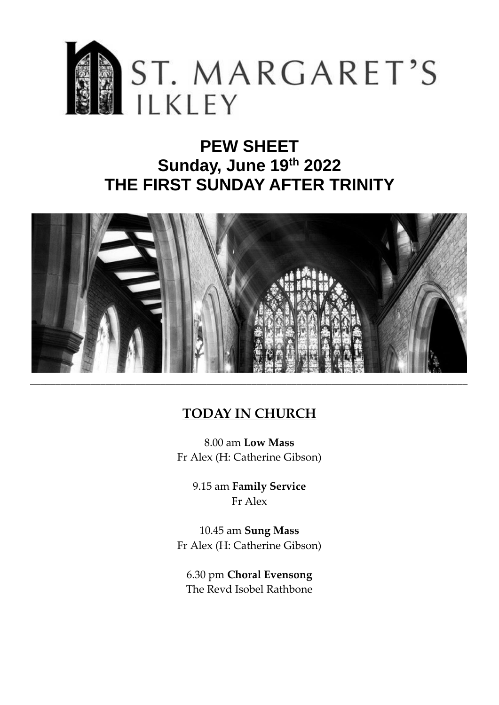

# **PEW SHEET Sunday, June 19th 2022 THE FIRST SUNDAY AFTER TRINITY**



## **TODAY IN CHURCH**

8.00 am **Low Mass** Fr Alex (H: Catherine Gibson)

> 9.15 am **Family Service** Fr Alex

10.45 am **Sung Mass** Fr Alex (H: Catherine Gibson)

6.30 pm **Choral Evensong**  The Revd Isobel Rathbone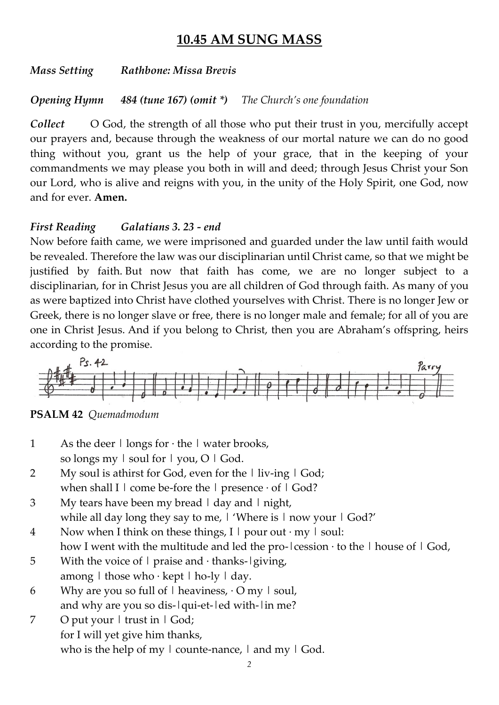## **10.45 AM SUNG MASS**

*Mass Setting Rathbone: Missa Brevis*

*Opening Hymn 484 (tune 167) (omit \*) The Church's one foundation*

*Collect* O God, the strength of all those who put their trust in you, mercifully accept our prayers and, because through the weakness of our mortal nature we can do no good thing without you, grant us the help of your grace, that in the keeping of your commandments we may please you both in will and deed; through Jesus Christ your Son our Lord, who is alive and reigns with you, in the unity of the Holy Spirit, one God, now and for ever. **Amen.**

### *First Reading Galatians 3. 23 - end*

Now before faith came, we were imprisoned and guarded under the law until faith would be revealed. Therefore the law was our disciplinarian until Christ came, so that we might be justified by faith. But now that faith has come, we are no longer subject to a disciplinarian, for in Christ Jesus you are all children of God through faith. As many of you as were baptized into Christ have clothed yourselves with Christ. There is no longer Jew or Greek, there is no longer slave or free, there is no longer male and female; for all of you are one in Christ Jesus. And if you belong to Christ, then you are Abraham's offspring, heirs according to the promise.



**PSALM 42** *Quemadmodum*

- 1 As the deer  $\vert$  longs for  $\cdot$  the  $\vert$  water brooks, so longs my  $\vert$  soul for  $\vert$  you, O  $\vert$  God.
- 2 My soul is athirst for God, even for the I liv-ing I God; when shall I  $\mid$  come be-fore the  $\mid$  presence  $\cdot$  of  $\mid$  God?
- 3 My tears have been my bread | day and | night, while all day long they say to me,  $\vert$  'Where is  $\vert$  now your  $\vert$  God?'
- 4 Now when I think on these things, I  $\vert$  pour out · my  $\vert$  soul: how I went with the multitude and led the pro- $|$ cession  $\cdot$  to the  $|$  house of  $|$  God,
- 5 With the voice of  $\vert$  praise and · thanks- $\vert$  giving, among  $\vert$  those who  $\cdot$  kept  $\vert$  ho-ly  $\vert$  day.
- 6 Why are you so full of  $\vert$  heaviness,  $\cdot$  O my  $\vert$  soul, and why are you so dis-|qui-et-|ed with-|in me?
- 7 O put your | trust in | God; for I will yet give him thanks, who is the help of my  $\vert$  counte-nance,  $\vert$  and my  $\vert$  God.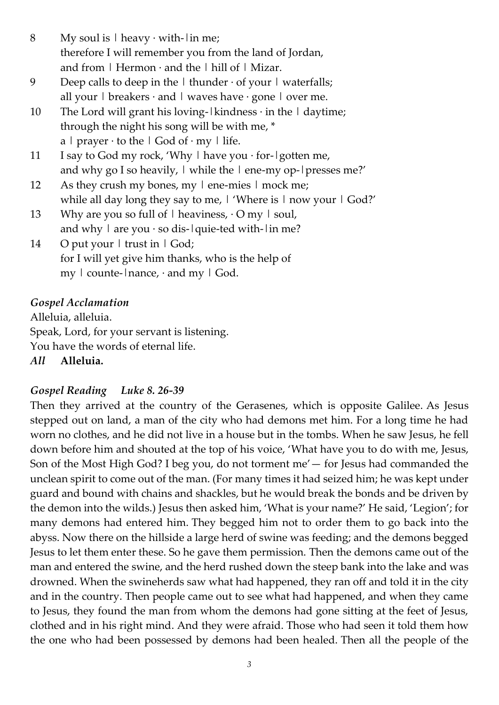8 My soul is  $|$  heavy  $\cdot$  with- $|$  in me; therefore I will remember you from the land of Jordan, and from  $\mid$  Hermon $\cdot$  and the  $\mid$  hill of  $\mid$  Mizar.

- 9 Deep calls to deep in the  $\vert$  thunder  $\cdot$  of your  $\vert$  waterfalls; all your  $\vert$  breakers  $\cdot$  and  $\vert$  waves have  $\cdot$  gone  $\vert$  over me.
- 10 The Lord will grant his loving- $|$ kindness  $\cdot$  in the  $|$  daytime; through the night his song will be with me, \* a | prayer  $\cdot$  to the | God of  $\cdot$  my | life.
- 11 I say to God my rock, 'Why  $\vert$  have you  $\cdot$  for- $\vert$  gotten me, and why go I so heavily,  $\vert$  while the  $\vert$  ene-my op- $\vert$  presses me?'
- 12 As they crush my bones, my l ene-mies l mock me; while all day long they say to me, I 'Where is I now your I God?'
- 13 Why are you so full of  $\vert$  heaviness,  $\cdot$  O my  $\vert$  soul, and why  $\vert$  are you  $\cdot$  so dis- $\vert$  quie-ted with- $\vert$  in me?
- 14 O put your | trust in | God; for I will yet give him thanks, who is the help of my  $\vert$  counte- $\vert$ nance,  $\cdot$  and my  $\vert$  God.

## *Gospel Acclamation*

Alleluia, alleluia. Speak, Lord, for your servant is listening. You have the words of eternal life. *All* **Alleluia.**

## *Gospel Reading Luke 8. 26-39*

Then they arrived at the country of the Gerasenes, which is opposite Galilee. As Jesus stepped out on land, a man of the city who had demons met him. For a long time he had worn no clothes, and he did not live in a house but in the tombs. When he saw Jesus, he fell down before him and shouted at the top of his voice, 'What have you to do with me, Jesus, Son of the Most High God? I beg you, do not torment me'— for Jesus had commanded the unclean spirit to come out of the man. (For many times it had seized him; he was kept under guard and bound with chains and shackles, but he would break the bonds and be driven by the demon into the wilds.) Jesus then asked him, 'What is your name?' He said, 'Legion'; for many demons had entered him. They begged him not to order them to go back into the abyss. Now there on the hillside a large herd of swine was feeding; and the demons begged Jesus to let them enter these. So he gave them permission. Then the demons came out of the man and entered the swine, and the herd rushed down the steep bank into the lake and was drowned. When the swineherds saw what had happened, they ran off and told it in the city and in the country. Then people came out to see what had happened, and when they came to Jesus, they found the man from whom the demons had gone sitting at the feet of Jesus, clothed and in his right mind. And they were afraid. Those who had seen it told them how the one who had been possessed by demons had been healed. Then all the people of the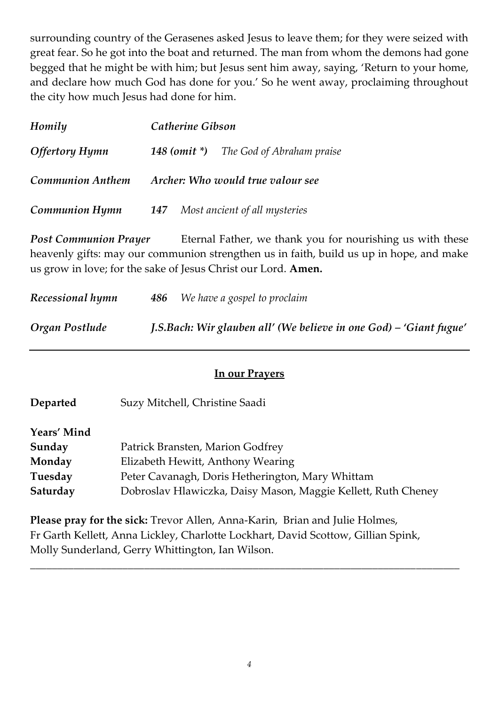surrounding country of the Gerasenes asked Jesus to leave them; for they were seized with great fear. So he got into the boat and returned. The man from whom the demons had gone begged that he might be with him; but Jesus sent him away, saying, 'Return to your home, and declare how much God has done for you.' So he went away, proclaiming throughout the city how much Jesus had done for him.

| Homily                  | Catherine Gibson                              |  |  |
|-------------------------|-----------------------------------------------|--|--|
| <b>Offertory Hymn</b>   | <b>148 (omit *)</b> The God of Abraham praise |  |  |
| <b>Communion Anthem</b> | Archer: Who would true valour see             |  |  |
| <b>Communion Hymn</b>   | <b>147</b> Most ancient of all mysteries      |  |  |

**Post Communion Prayer** Eternal Father, we thank you for nourishing us with these heavenly gifts: may our communion strengthen us in faith, build us up in hope, and make us grow in love; for the sake of Jesus Christ our Lord. **Amen.**

| Recessional hymn | <b>486</b> We have a gospel to proclaim                            |
|------------------|--------------------------------------------------------------------|
| Organ Postlude   | J.S.Bach: Wir glauben all' (We believe in one God) – 'Giant fugue' |

### **In our Prayers**

| Departed    | Suzy Mitchell, Christine Saadi                                |
|-------------|---------------------------------------------------------------|
| Years' Mind |                                                               |
| Sunday      | Patrick Bransten, Marion Godfrey                              |
| Monday      | Elizabeth Hewitt, Anthony Wearing                             |
| Tuesday     | Peter Cavanagh, Doris Hetherington, Mary Whittam              |
| Saturday    | Dobroslav Hlawiczka, Daisy Mason, Maggie Kellett, Ruth Cheney |

**Please pray for the sick:** Trevor Allen, Anna-Karin, Brian and Julie Holmes, Fr Garth Kellett, Anna Lickley, Charlotte Lockhart, David Scottow, Gillian Spink, Molly Sunderland, Gerry Whittington, Ian Wilson.

*\_\_\_\_\_\_\_\_\_\_\_\_\_\_\_\_\_\_\_\_\_\_\_\_\_\_\_\_\_\_\_\_\_\_\_\_\_\_\_\_\_\_\_\_\_\_\_\_\_\_\_\_\_\_\_\_\_\_\_\_\_\_\_\_\_\_\_\_\_\_\_\_\_\_\_\_\_\_\_*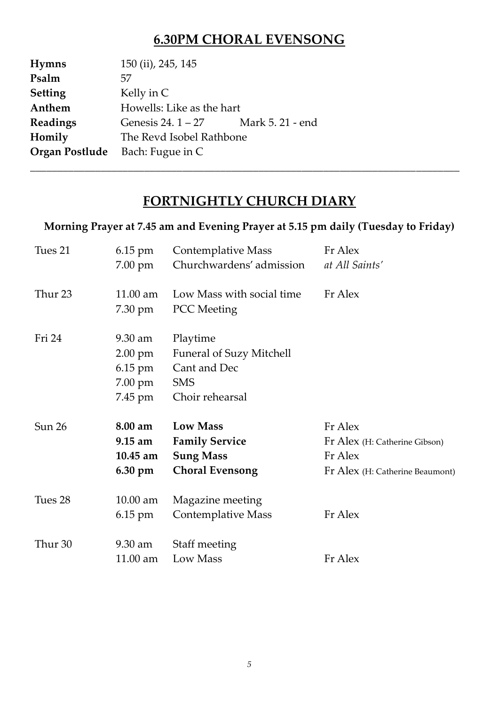## **6.30PM CHORAL EVENSONG**

| <b>Hymns</b>                           | 150 (ii), 245, 145        |                  |  |
|----------------------------------------|---------------------------|------------------|--|
| Psalm                                  | 57                        |                  |  |
| <b>Setting</b>                         | Kelly in C                |                  |  |
| Anthem                                 | Howells: Like as the hart |                  |  |
| Readings                               | Genesis $24.1 - 27$       | Mark 5, 21 - end |  |
| Homily                                 | The Revd Isobel Rathbone  |                  |  |
| <b>Organ Postlude</b> Bach: Fugue in C |                           |                  |  |

## **FORTNIGHTLY CHURCH DIARY**

*\_\_\_\_\_\_\_\_\_\_\_\_\_\_\_\_\_\_\_\_\_\_\_\_\_\_\_\_\_\_\_\_\_\_\_\_\_\_\_\_\_\_\_\_\_\_\_\_\_\_\_\_\_\_\_\_\_\_\_\_\_\_\_\_\_\_\_\_\_\_\_\_\_\_\_\_\_\_\_*

### **Morning Prayer at 7.45 am and Evening Prayer at 5.15 pm daily (Tuesday to Friday)**

| Tues 21            | 6.15 pm<br>7.00 pm                                                        | <b>Contemplative Mass</b><br>Churchwardens' admission                                        | Fr Alex<br>at All Saints'                                                              |
|--------------------|---------------------------------------------------------------------------|----------------------------------------------------------------------------------------------|----------------------------------------------------------------------------------------|
| Thur <sub>23</sub> | 11.00 am<br>7.30 pm                                                       | Low Mass with social time<br><b>PCC</b> Meeting                                              | Fr Alex                                                                                |
| Fri 24             | 9.30 am<br>$2.00$ pm<br>$6.15 \text{ pm}$<br>$7.00 \text{ pm}$<br>7.45 pm | Playtime<br><b>Funeral of Suzy Mitchell</b><br>Cant and Dec<br><b>SMS</b><br>Choir rehearsal |                                                                                        |
| Sun 26             | 8.00 am<br>$9.15$ am<br>$10.45$ am<br>$6.30 \text{ pm}$                   | <b>Low Mass</b><br><b>Family Service</b><br><b>Sung Mass</b><br><b>Choral Evensong</b>       | Fr Alex<br>Fr Alex (H: Catherine Gibson)<br>Fr Alex<br>Fr Alex (H: Catherine Beaumont) |
| Tues 28            | $10.00$ am<br>$6.15 \text{ pm}$                                           | Magazine meeting<br>Contemplative Mass                                                       | Fr Alex                                                                                |
| Thur 30            | 9.30 am<br>11.00 am                                                       | Staff meeting<br>Low Mass                                                                    | Fr Alex                                                                                |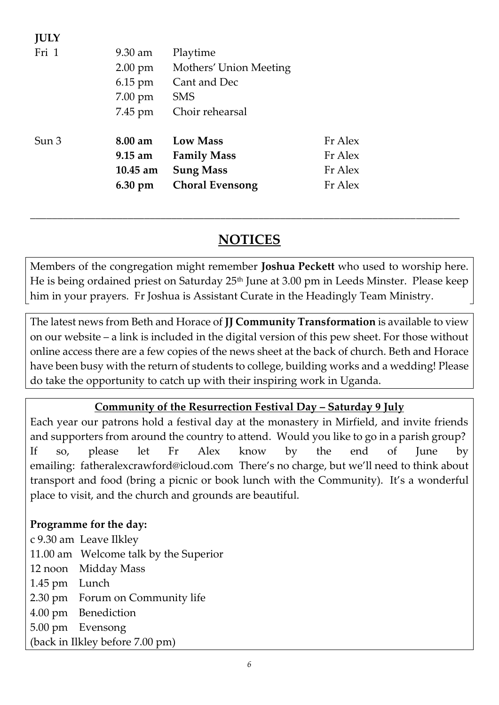| JULY  |                   |                        |         |
|-------|-------------------|------------------------|---------|
| Fri 1 | $9.30 \text{ am}$ | Playtime               |         |
|       | $2.00 \text{ pm}$ | Mothers' Union Meeting |         |
|       | $6.15 \text{ pm}$ | Cant and Dec           |         |
|       | $7.00 \text{ pm}$ | <b>SMS</b>             |         |
|       | 7.45 pm           | Choir rehearsal        |         |
| Sun 3 | $8.00 \text{ am}$ | <b>Low Mass</b>        | Fr Alex |
|       | $9.15 \text{ am}$ | <b>Family Mass</b>     | Fr Alex |
|       | $10.45$ am        | <b>Sung Mass</b>       | Fr Alex |
|       | 6.30 pm           | <b>Choral Evensong</b> | Fr Alex |
|       |                   |                        |         |

## **NOTICES**

*\_\_\_\_\_\_\_\_\_\_\_\_\_\_\_\_\_\_\_\_\_\_\_\_\_\_\_\_\_\_\_\_\_\_\_\_\_\_\_\_\_\_\_\_\_\_\_\_\_\_\_\_\_\_\_\_\_\_\_\_\_\_\_\_\_\_\_\_\_\_\_\_\_\_\_\_\_\_\_*

Members of the congregation might remember **Joshua Peckett** who used to worship here. He is being ordained priest on Saturday 25th June at 3.00 pm in Leeds Minster. Please keep him in your prayers. Fr Joshua is Assistant Curate in the Headingly Team Ministry.

The latest news from Beth and Horace of **JJ Community Transformation** is available to view on our website – a link is included in the digital version of this pew sheet. For those without online access there are a few copies of the news sheet at the back of church. Beth and Horace have been busy with the return of students to college, building works and a wedding! Please do take the opportunity to catch up with their inspiring work in Uganda.

## **Community of the Resurrection Festival Day – Saturday 9 July**

Each year our patrons hold a festival day at the monastery in Mirfield, and invite friends and supporters from around the country to attend. Would you like to go in a parish group? If so, please let Fr Alex know by the end of June by emailing: [fatheralexcrawford@icloud.com](mailto:fatheralexcrawford@icloud.com) There's no charge, but we'll need to think about transport and food (bring a picnic or book lunch with the Community). It's a wonderful place to visit, and the church and grounds are beautiful.

### **Programme for the day:**

**JULY** 

c 9.30 am Leave Ilkley 11.00 am Welcome talk by the Superior 12 noon Midday Mass 1.45 pm Lunch 2.30 pm Forum on Community life 4.00 pm Benediction 5.00 pm Evensong (back in Ilkley before 7.00 pm)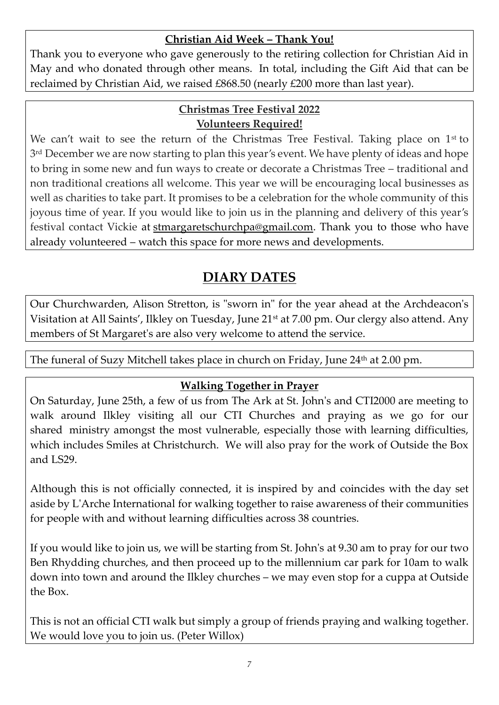### **Christian Aid Week – Thank You!**

Thank you to everyone who gave generously to the retiring collection for Christian Aid in May and who donated through other means. In total, including the Gift Aid that can be reclaimed by Christian Aid, we raised £868.50 (nearly £200 more than last year).

#### **Christmas Tree Festival 2022 Volunteers Required!**

We can't wait to see the return of the Christmas Tree Festival. Taking place on  $1<sup>st</sup>$  to 3 rd December we are now starting to plan this year's event. We have plenty of ideas and hope to bring in some new and fun ways to create or decorate a Christmas Tree – traditional and non traditional creations all welcome. This year we will be encouraging local businesses as well as charities to take part. It promises to be a celebration for the whole community of this joyous time of year. If you would like to join us in the planning and delivery of this year's festival contact Vickie at [stmargaretschurchpa@gmail.com.](mailto:stmargaretschurchpa@gmail.com) Thank you to those who have already volunteered – watch this space for more news and developments.

## **DIARY DATES**

Our Churchwarden, Alison Stretton, is "sworn in" for the year ahead at the Archdeacon's Visitation at All Saints', Ilkley on Tuesday, June 21<sup>st</sup> at 7.00 pm. Our clergy also attend. Any members of St Margaret's are also very welcome to attend the service.

The funeral of Suzy Mitchell takes place in church on Friday, June 24<sup>th</sup> at 2.00 pm.

## **Walking Together in Prayer**

On Saturday, June 25th, a few of us from The Ark at St. John's and CTI2000 are meeting to walk around Ilkley visiting all our CTI Churches and praying as we go for our shared ministry amongst the most vulnerable, especially those with learning difficulties, which includes Smiles at Christchurch. We will also pray for the work of Outside the Box and LS29.

Although this is not officially connected, it is inspired by and coincides with the day set aside by L'Arche International for walking together to raise awareness of their communities for people with and without learning difficulties across 38 countries.

If you would like to join us, we will be starting from St. John's at 9.30 am to pray for our two Ben Rhydding churches, and then proceed up to the millennium car park for 10am to walk down into town and around the Ilkley churches – we may even stop for a cuppa at Outside the Box.

This is not an official CTI walk but simply a group of friends praying and walking together. We would love you to join us. (Peter Willox)